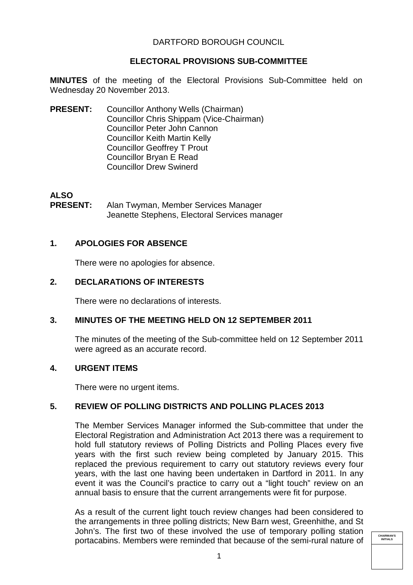## DARTFORD BOROUGH COUNCIL

## **ELECTORAL PROVISIONS SUB-COMMITTEE**

**MINUTES** of the meeting of the Electoral Provisions Sub-Committee held on Wednesday 20 November 2013.

**PRESENT:** Councillor Anthony Wells (Chairman) Councillor Chris Shippam (Vice-Chairman) Councillor Peter John Cannon Councillor Keith Martin Kelly Councillor Geoffrey T Prout Councillor Bryan E Read Councillor Drew Swinerd

# **ALSO**

**PRESENT:**  Alan Twyman, Member Services Manager Jeanette Stephens, Electoral Services manager

# **1. APOLOGIES FOR ABSENCE**

There were no apologies for absence.

## **2. DECLARATIONS OF INTERESTS**

There were no declarations of interests.

## **3. MINUTES OF THE MEETING HELD ON 12 SEPTEMBER 2011**

The minutes of the meeting of the Sub-committee held on 12 September 2011 were agreed as an accurate record.

## **4. URGENT ITEMS**

There were no urgent items.

# **5. REVIEW OF POLLING DISTRICTS AND POLLING PLACES 2013**

The Member Services Manager informed the Sub-committee that under the Electoral Registration and Administration Act 2013 there was a requirement to hold full statutory reviews of Polling Districts and Polling Places every five years with the first such review being completed by January 2015. This replaced the previous requirement to carry out statutory reviews every four years, with the last one having been undertaken in Dartford in 2011. In any event it was the Council's practice to carry out a "light touch" review on an annual basis to ensure that the current arrangements were fit for purpose.

As a result of the current light touch review changes had been considered to the arrangements in three polling districts; New Barn west, Greenhithe, and St John's. The first two of these involved the use of temporary polling station portacabins. Members were reminded that because of the semi-rural nature of

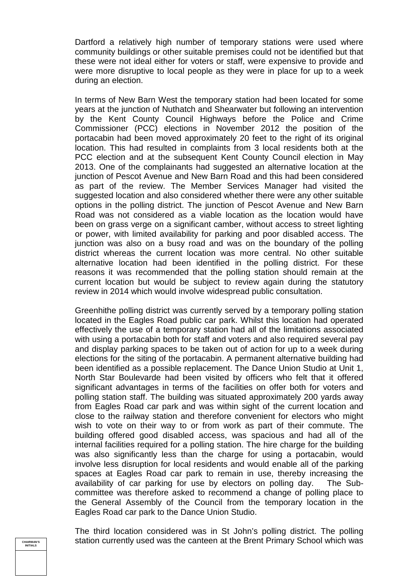Dartford a relatively high number of temporary stations were used where community buildings or other suitable premises could not be identified but that these were not ideal either for voters or staff, were expensive to provide and were more disruptive to local people as they were in place for up to a week during an election.

In terms of New Barn West the temporary station had been located for some years at the junction of Nuthatch and Shearwater but following an intervention by the Kent County Council Highways before the Police and Crime Commissioner (PCC) elections in November 2012 the position of the portacabin had been moved approximately 20 feet to the right of its original location. This had resulted in complaints from 3 local residents both at the PCC election and at the subsequent Kent County Council election in May 2013. One of the complainants had suggested an alternative location at the junction of Pescot Avenue and New Barn Road and this had been considered as part of the review. The Member Services Manager had visited the suggested location and also considered whether there were any other suitable options in the polling district. The junction of Pescot Avenue and New Barn Road was not considered as a viable location as the location would have been on grass verge on a significant camber, without access to street lighting or power, with limited availability for parking and poor disabled access. The junction was also on a busy road and was on the boundary of the polling district whereas the current location was more central. No other suitable alternative location had been identified in the polling district. For these reasons it was recommended that the polling station should remain at the current location but would be subject to review again during the statutory review in 2014 which would involve widespread public consultation.

Greenhithe polling district was currently served by a temporary polling station located in the Eagles Road public car park. Whilst this location had operated effectively the use of a temporary station had all of the limitations associated with using a portacabin both for staff and voters and also required several pay and display parking spaces to be taken out of action for up to a week during elections for the siting of the portacabin. A permanent alternative building had been identified as a possible replacement. The Dance Union Studio at Unit 1, North Star Boulevarde had been visited by officers who felt that it offered significant advantages in terms of the facilities on offer both for voters and polling station staff. The building was situated approximately 200 yards away from Eagles Road car park and was within sight of the current location and close to the railway station and therefore convenient for electors who might wish to vote on their way to or from work as part of their commute. The building offered good disabled access, was spacious and had all of the internal facilities required for a polling station. The hire charge for the building was also significantly less than the charge for using a portacabin, would involve less disruption for local residents and would enable all of the parking spaces at Eagles Road car park to remain in use, thereby increasing the availability of car parking for use by electors on polling day. The Subcommittee was therefore asked to recommend a change of polling place to the General Assembly of the Council from the temporary location in the Eagles Road car park to the Dance Union Studio.

The third location considered was in St John's polling district. The polling station currently used was the canteen at the Brent Primary School which was

**CHAIRMAN'S INITIALS**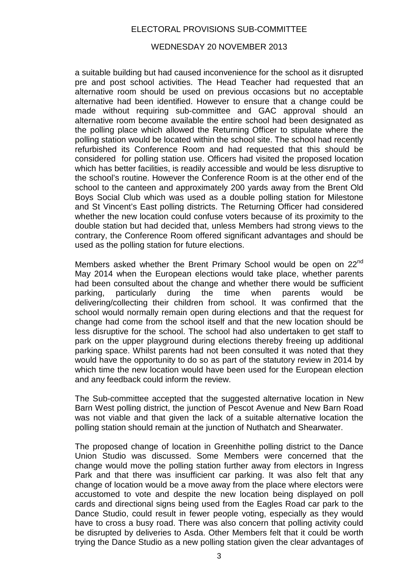## ELECTORAL PROVISIONS SUB-COMMITTEE

#### WEDNESDAY 20 NOVEMBER 2013

a suitable building but had caused inconvenience for the school as it disrupted pre and post school activities. The Head Teacher had requested that an alternative room should be used on previous occasions but no acceptable alternative had been identified. However to ensure that a change could be made without requiring sub-committee and GAC approval should an alternative room become available the entire school had been designated as the polling place which allowed the Returning Officer to stipulate where the polling station would be located within the school site. The school had recently refurbished its Conference Room and had requested that this should be considered for polling station use. Officers had visited the proposed location which has better facilities, is readily accessible and would be less disruptive to the school's routine. However the Conference Room is at the other end of the school to the canteen and approximately 200 yards away from the Brent Old Boys Social Club which was used as a double polling station for Milestone and St Vincent's East polling districts. The Returning Officer had considered whether the new location could confuse voters because of its proximity to the double station but had decided that, unless Members had strong views to the contrary, the Conference Room offered significant advantages and should be used as the polling station for future elections.

Members asked whether the Brent Primary School would be open on 22<sup>nd</sup> May 2014 when the European elections would take place, whether parents had been consulted about the change and whether there would be sufficient parking, particularly during the time when parents would be delivering/collecting their children from school. It was confirmed that the school would normally remain open during elections and that the request for change had come from the school itself and that the new location should be less disruptive for the school. The school had also undertaken to get staff to park on the upper playground during elections thereby freeing up additional parking space. Whilst parents had not been consulted it was noted that they would have the opportunity to do so as part of the statutory review in 2014 by which time the new location would have been used for the European election and any feedback could inform the review.

The Sub-committee accepted that the suggested alternative location in New Barn West polling district, the junction of Pescot Avenue and New Barn Road was not viable and that given the lack of a suitable alternative location the polling station should remain at the junction of Nuthatch and Shearwater.

The proposed change of location in Greenhithe polling district to the Dance Union Studio was discussed. Some Members were concerned that the change would move the polling station further away from electors in Ingress Park and that there was insufficient car parking. It was also felt that any change of location would be a move away from the place where electors were accustomed to vote and despite the new location being displayed on poll cards and directional signs being used from the Eagles Road car park to the Dance Studio, could result in fewer people voting, especially as they would have to cross a busy road. There was also concern that polling activity could be disrupted by deliveries to Asda. Other Members felt that it could be worth trying the Dance Studio as a new polling station given the clear advantages of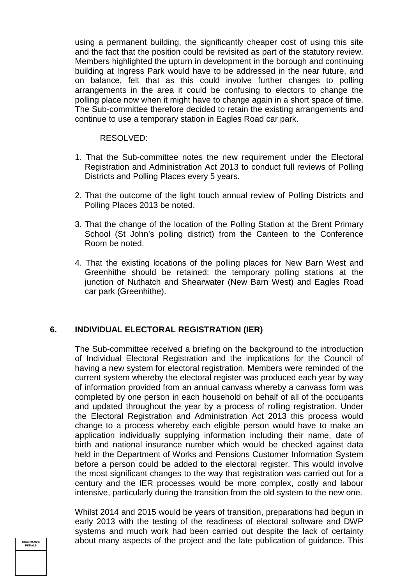using a permanent building, the significantly cheaper cost of using this site and the fact that the position could be revisited as part of the statutory review. Members highlighted the upturn in development in the borough and continuing building at Ingress Park would have to be addressed in the near future, and on balance, felt that as this could involve further changes to polling arrangements in the area it could be confusing to electors to change the polling place now when it might have to change again in a short space of time. The Sub-committee therefore decided to retain the existing arrangements and continue to use a temporary station in Eagles Road car park.

#### RESOLVED:

- 1. That the Sub-committee notes the new requirement under the Electoral Registration and Administration Act 2013 to conduct full reviews of Polling Districts and Polling Places every 5 years.
- 2. That the outcome of the light touch annual review of Polling Districts and Polling Places 2013 be noted.
- 3. That the change of the location of the Polling Station at the Brent Primary School (St John's polling district) from the Canteen to the Conference Room be noted.
- 4. That the existing locations of the polling places for New Barn West and Greenhithe should be retained: the temporary polling stations at the junction of Nuthatch and Shearwater (New Barn West) and Eagles Road car park (Greenhithe).

## **6. INDIVIDUAL ELECTORAL REGISTRATION (IER)**

The Sub-committee received a briefing on the background to the introduction of Individual Electoral Registration and the implications for the Council of having a new system for electoral registration. Members were reminded of the current system whereby the electoral register was produced each year by way of information provided from an annual canvass whereby a canvass form was completed by one person in each household on behalf of all of the occupants and updated throughout the year by a process of rolling registration. Under the Electoral Registration and Administration Act 2013 this process would change to a process whereby each eligible person would have to make an application individually supplying information including their name, date of birth and national insurance number which would be checked against data held in the Department of Works and Pensions Customer Information System before a person could be added to the electoral register. This would involve the most significant changes to the way that registration was carried out for a century and the IER processes would be more complex, costly and labour intensive, particularly during the transition from the old system to the new one.

Whilst 2014 and 2015 would be years of transition, preparations had begun in early 2013 with the testing of the readiness of electoral software and DWP systems and much work had been carried out despite the lack of certainty about many aspects of the project and the late publication of guidance. This

**CHAIRMAN'S INITIALS**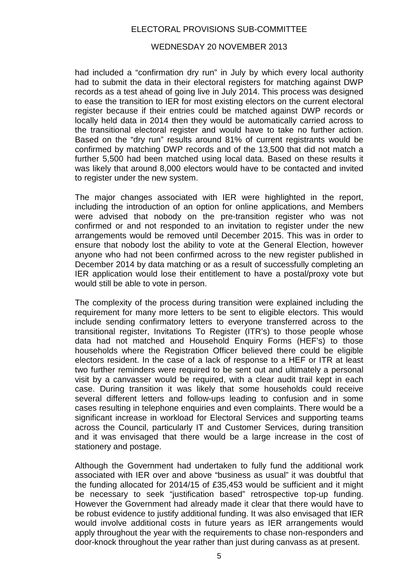## ELECTORAL PROVISIONS SUB-COMMITTEE

#### WEDNESDAY 20 NOVEMBER 2013

had included a "confirmation dry run" in July by which every local authority had to submit the data in their electoral registers for matching against DWP records as a test ahead of going live in July 2014. This process was designed to ease the transition to IER for most existing electors on the current electoral register because if their entries could be matched against DWP records or locally held data in 2014 then they would be automatically carried across to the transitional electoral register and would have to take no further action. Based on the "dry run" results around 81% of current registrants would be confirmed by matching DWP records and of the 13,500 that did not match a further 5,500 had been matched using local data. Based on these results it was likely that around 8,000 electors would have to be contacted and invited to register under the new system.

The major changes associated with IER were highlighted in the report, including the introduction of an option for online applications, and Members were advised that nobody on the pre-transition register who was not confirmed or and not responded to an invitation to register under the new arrangements would be removed until December 2015. This was in order to ensure that nobody lost the ability to vote at the General Election, however anyone who had not been confirmed across to the new register published in December 2014 by data matching or as a result of successfully completing an IER application would lose their entitlement to have a postal/proxy vote but would still be able to vote in person.

The complexity of the process during transition were explained including the requirement for many more letters to be sent to eligible electors. This would include sending confirmatory letters to everyone transferred across to the transitional register, Invitations To Register (ITR's) to those people whose data had not matched and Household Enquiry Forms (HEF's) to those households where the Registration Officer believed there could be eligible electors resident. In the case of a lack of response to a HEF or ITR at least two further reminders were required to be sent out and ultimately a personal visit by a canvasser would be required, with a clear audit trail kept in each case. During transition it was likely that some households could receive several different letters and follow-ups leading to confusion and in some cases resulting in telephone enquiries and even complaints. There would be a significant increase in workload for Electoral Services and supporting teams across the Council, particularly IT and Customer Services, during transition and it was envisaged that there would be a large increase in the cost of stationery and postage.

Although the Government had undertaken to fully fund the additional work associated with IER over and above "business as usual" it was doubtful that the funding allocated for 2014/15 of £35,453 would be sufficient and it might be necessary to seek "justification based" retrospective top-up funding. However the Government had already made it clear that there would have to be robust evidence to justify additional funding. It was also envisaged that IER would involve additional costs in future years as IER arrangements would apply throughout the year with the requirements to chase non-responders and door-knock throughout the year rather than just during canvass as at present.